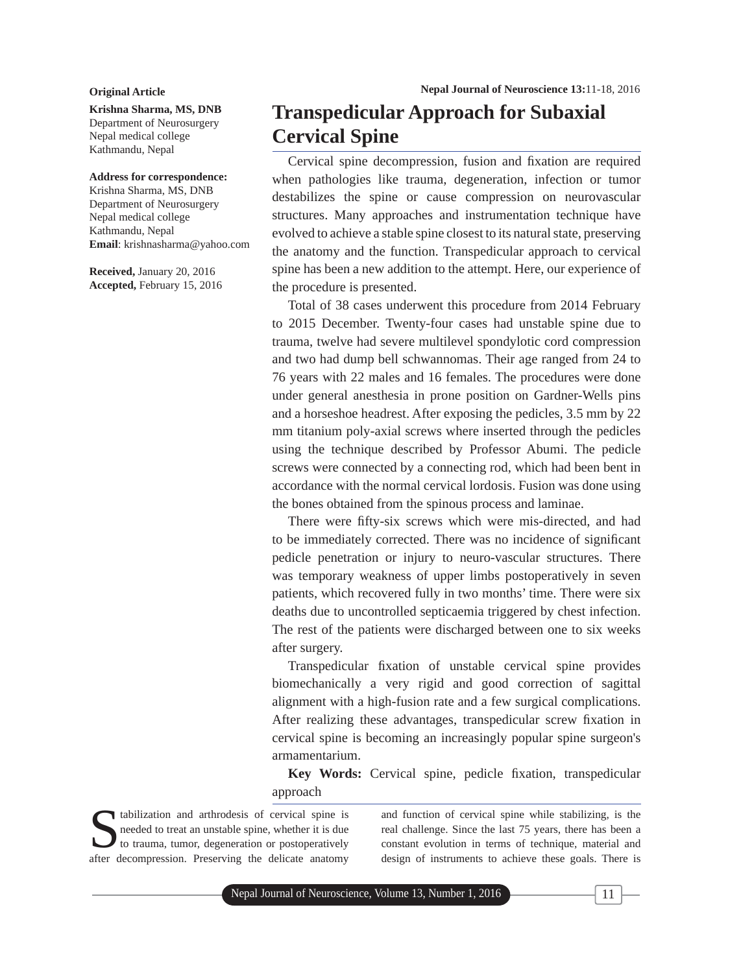#### **Krishna Sharma, MS, DNB**

Department of Neurosurgery Nepal medical college Kathmandu, Nepal

# **Address for correspondence:**

Krishna Sharma, MS, DNB Department of Neurosurgery Nepal medical college Kathmandu, Nepal **Email**: krishnasharma@yahoo.com

**Received,** January 20, 2016 **Accepted,** February 15, 2016

# **Transpedicular Approach for Subaxial Cervical Spine**

Cervical spine decompression, fusion and fixation are required when pathologies like trauma, degeneration, infection or tumor destabilizes the spine or cause compression on neurovascular structures. Many approaches and instrumentation technique have evolved to achieve a stable spine closest to its natural state, preserving the anatomy and the function. Transpedicular approach to cervical spine has been a new addition to the attempt. Here, our experience of the procedure is presented.

Total of 38 cases underwent this procedure from 2014 February to 2015 December. Twenty-four cases had unstable spine due to trauma, twelve had severe multilevel spondylotic cord compression and two had dump bell schwannomas. Their age ranged from 24 to 76 years with 22 males and 16 females. The procedures were done under general anesthesia in prone position on Gardner-Wells pins and a horseshoe headrest. After exposing the pedicles, 3.5 mm by 22 mm titanium poly-axial screws where inserted through the pedicles using the technique described by Professor Abumi. The pedicle screws were connected by a connecting rod, which had been bent in accordance with the normal cervical lordosis. Fusion was done using the bones obtained from the spinous process and laminae.

There were fifty-six screws which were mis-directed, and had to be immediately corrected. There was no incidence of significant pedicle penetration or injury to neuro-vascular structures. There was temporary weakness of upper limbs postoperatively in seven patients, which recovered fully in two months' time. There were six deaths due to uncontrolled septicaemia triggered by chest infection. The rest of the patients were discharged between one to six weeks after surgery.

Transpedicular fixation of unstable cervical spine provides biomechanically a very rigid and good correction of sagittal alignment with a high-fusion rate and a few surgical complications. After realizing these advantages, transpedicular screw fixation in cervical spine is becoming an increasingly popular spine surgeon's armamentarium.

Key Words: Cervical spine, pedicle fixation, transpedicular approach

tabilization and arthrodesis of cervical spine is needed to treat an unstable spine, whether it is due to trauma, tumor, degeneration or postoperatively after decompression. Preserving the delicate anatomy

and function of cervical spine while stabilizing, is the real challenge. Since the last 75 years, there has been a constant evolution in terms of technique, material and design of instruments to achieve these goals. There is

Nepal Journal of Neuroscience, Volume 13, Number 1, 2016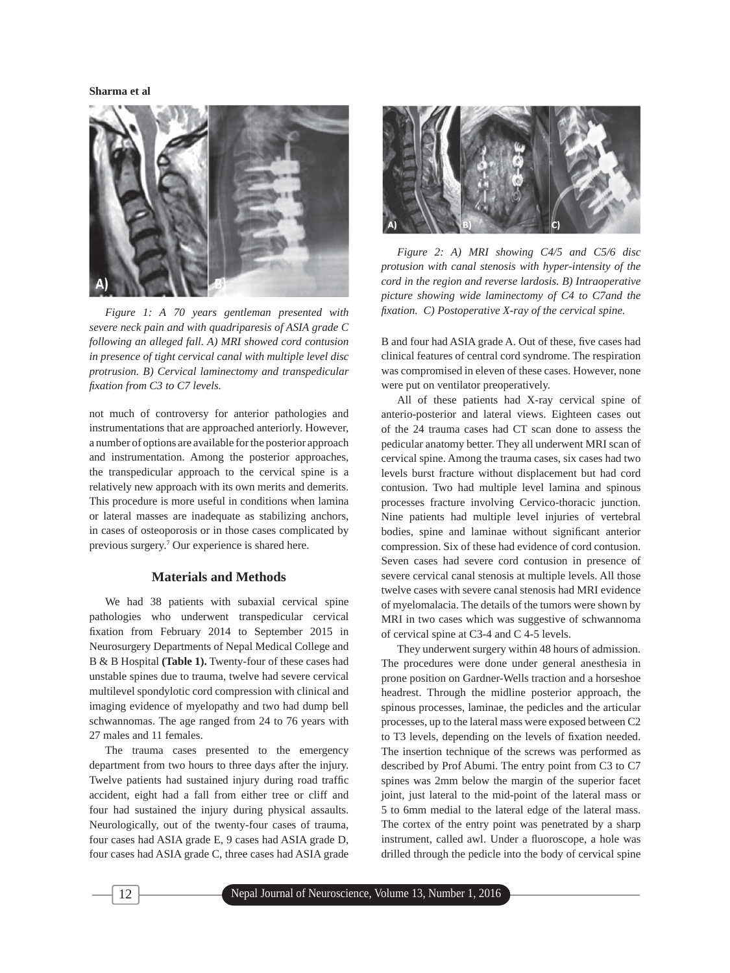

*Figure 1: A 70 years gentleman presented with severe neck pain and with quadriparesis of ASIA grade C following an alleged fall. A) MRI showed cord contusion in presence of tight cervical canal with multiple level disc protrusion. B) Cervical laminectomy and transpedicular fi xation from C3 to C7 levels.*

not much of controversy for anterior pathologies and instrumentations that are approached anteriorly. However, a number of options are available for the posterior approach and instrumentation. Among the posterior approaches, the transpedicular approach to the cervical spine is a relatively new approach with its own merits and demerits. This procedure is more useful in conditions when lamina or lateral masses are inadequate as stabilizing anchors, in cases of osteoporosis or in those cases complicated by previous surgery.7 Our experience is shared here.

# **Materials and Methods**

We had 38 patients with subaxial cervical spine pathologies who underwent transpedicular cervical fixation from February 2014 to September 2015 in Neurosurgery Departments of Nepal Medical College and B & B Hospital **(Table 1).** Twenty-four of these cases had unstable spines due to trauma, twelve had severe cervical multilevel spondylotic cord compression with clinical and imaging evidence of myelopathy and two had dump bell schwannomas. The age ranged from 24 to 76 years with 27 males and 11 females.

The trauma cases presented to the emergency department from two hours to three days after the injury. Twelve patients had sustained injury during road traffic accident, eight had a fall from either tree or cliff and four had sustained the injury during physical assaults. Neurologically, out of the twenty-four cases of trauma, four cases had ASIA grade E, 9 cases had ASIA grade D, four cases had ASIA grade C, three cases had ASIA grade



*Figure 2: A) MRI showing C4/5 and C5/6 disc protusion with canal stenosis with hyper-intensity of the cord in the region and reverse lardosis. B) Intraoperative picture showing wide laminectomy of C4 to C7and the fi xation. C) Postoperative X-ray of the cervical spine.*

B and four had ASIA grade A. Out of these, five cases had clinical features of central cord syndrome. The respiration was compromised in eleven of these cases. However, none were put on ventilator preoperatively.

All of these patients had X-ray cervical spine of anterio-posterior and lateral views. Eighteen cases out of the 24 trauma cases had CT scan done to assess the pedicular anatomy better. They all underwent MRI scan of cervical spine. Among the trauma cases, six cases had two levels burst fracture without displacement but had cord contusion. Two had multiple level lamina and spinous processes fracture involving Cervico-thoracic junction. Nine patients had multiple level injuries of vertebral bodies, spine and laminae without significant anterior compression. Six of these had evidence of cord contusion. Seven cases had severe cord contusion in presence of severe cervical canal stenosis at multiple levels. All those twelve cases with severe canal stenosis had MRI evidence of myelomalacia. The details of the tumors were shown by MRI in two cases which was suggestive of schwannoma of cervical spine at C3-4 and C 4-5 levels.

They underwent surgery within 48 hours of admission. The procedures were done under general anesthesia in prone position on Gardner-Wells traction and a horseshoe headrest. Through the midline posterior approach, the spinous processes, laminae, the pedicles and the articular processes, up to the lateral mass were exposed between C2 to T3 levels, depending on the levels of fixation needed. The insertion technique of the screws was performed as described by Prof Abumi. The entry point from C3 to C7 spines was 2mm below the margin of the superior facet joint, just lateral to the mid-point of the lateral mass or 5 to 6mm medial to the lateral edge of the lateral mass. The cortex of the entry point was penetrated by a sharp instrument, called awl. Under a fluoroscope, a hole was drilled through the pedicle into the body of cervical spine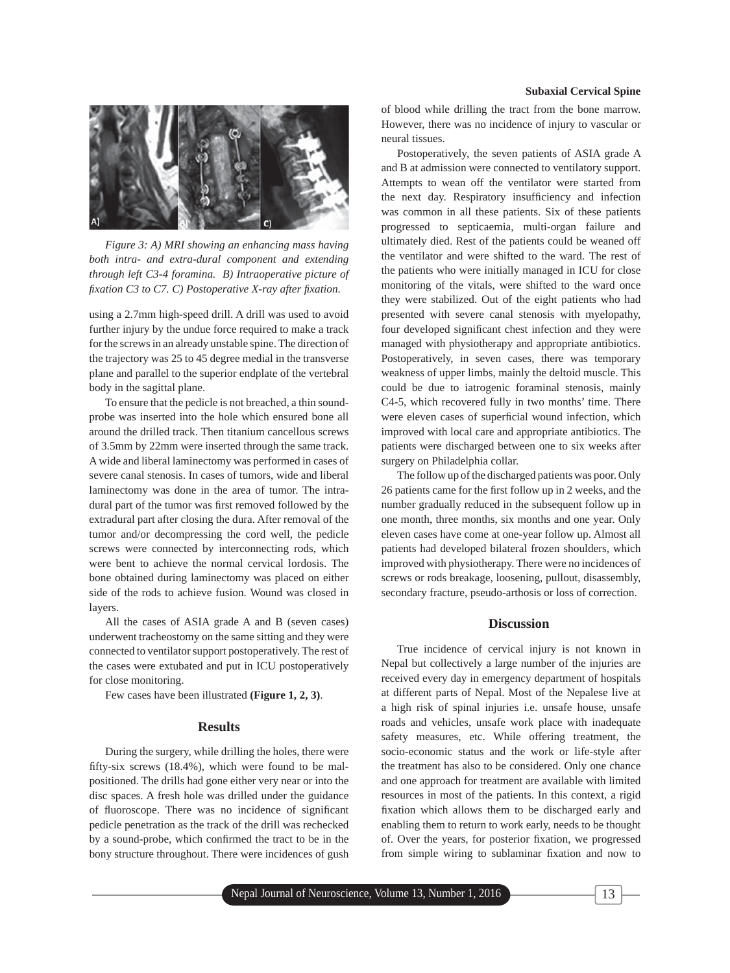#### **Subaxial Cervical Spine**



*Figure 3: A) MRI showing an enhancing mass having both intra- and extra-dural component and extending through left C3-4 foramina. B) Intraoperative picture of fixation C3 to C7. C) Postoperative X-ray after fixation.* 

using a 2.7mm high-speed drill. A drill was used to avoid further injury by the undue force required to make a track for the screws in an already unstable spine. The direction of the trajectory was 25 to 45 degree medial in the transverse plane and parallel to the superior endplate of the vertebral body in the sagittal plane.

To ensure that the pedicle is not breached, a thin soundprobe was inserted into the hole which ensured bone all around the drilled track. Then titanium cancellous screws of 3.5mm by 22mm were inserted through the same track. A wide and liberal laminectomy was performed in cases of severe canal stenosis. In cases of tumors, wide and liberal laminectomy was done in the area of tumor. The intradural part of the tumor was first removed followed by the extradural part after closing the dura. After removal of the tumor and/or decompressing the cord well, the pedicle screws were connected by interconnecting rods, which were bent to achieve the normal cervical lordosis. The bone obtained during laminectomy was placed on either side of the rods to achieve fusion. Wound was closed in layers.

All the cases of ASIA grade A and B (seven cases) underwent tracheostomy on the same sitting and they were connected to ventilator support postoperatively. The rest of the cases were extubated and put in ICU postoperatively for close monitoring.

Few cases have been illustrated **(Figure 1, 2, 3)**.

## **Results**

During the surgery, while drilling the holes, there were fifty-six screws  $(18.4\%)$ , which were found to be malpositioned. The drills had gone either very near or into the disc spaces. A fresh hole was drilled under the guidance of fluoroscope. There was no incidence of significant pedicle penetration as the track of the drill was rechecked by a sound-probe, which confirmed the tract to be in the bony structure throughout. There were incidences of gush of blood while drilling the tract from the bone marrow. However, there was no incidence of injury to vascular or neural tissues.

Postoperatively, the seven patients of ASIA grade A and B at admission were connected to ventilatory support. Attempts to wean off the ventilator were started from the next day. Respiratory insufficiency and infection was common in all these patients. Six of these patients progressed to septicaemia, multi-organ failure and ultimately died. Rest of the patients could be weaned off the ventilator and were shifted to the ward. The rest of the patients who were initially managed in ICU for close monitoring of the vitals, were shifted to the ward once they were stabilized. Out of the eight patients who had presented with severe canal stenosis with myelopathy, four developed significant chest infection and they were managed with physiotherapy and appropriate antibiotics. Postoperatively, in seven cases, there was temporary weakness of upper limbs, mainly the deltoid muscle. This could be due to iatrogenic foraminal stenosis, mainly C4-5, which recovered fully in two months' time. There were eleven cases of superficial wound infection, which improved with local care and appropriate antibiotics. The patients were discharged between one to six weeks after surgery on Philadelphia collar.

The follow up of the discharged patients was poor. Only 26 patients came for the first follow up in 2 weeks, and the number gradually reduced in the subsequent follow up in one month, three months, six months and one year. Only eleven cases have come at one-year follow up. Almost all patients had developed bilateral frozen shoulders, which improved with physiotherapy. There were no incidences of screws or rods breakage, loosening, pullout, disassembly, secondary fracture, pseudo-arthosis or loss of correction.

#### **Discussion**

True incidence of cervical injury is not known in Nepal but collectively a large number of the injuries are received every day in emergency department of hospitals at different parts of Nepal. Most of the Nepalese live at a high risk of spinal injuries i.e. unsafe house, unsafe roads and vehicles, unsafe work place with inadequate safety measures, etc. While offering treatment, the socio-economic status and the work or life-style after the treatment has also to be considered. Only one chance and one approach for treatment are available with limited resources in most of the patients. In this context, a rigid fixation which allows them to be discharged early and enabling them to return to work early, needs to be thought of. Over the years, for posterior fixation, we progressed from simple wiring to sublaminar fixation and now to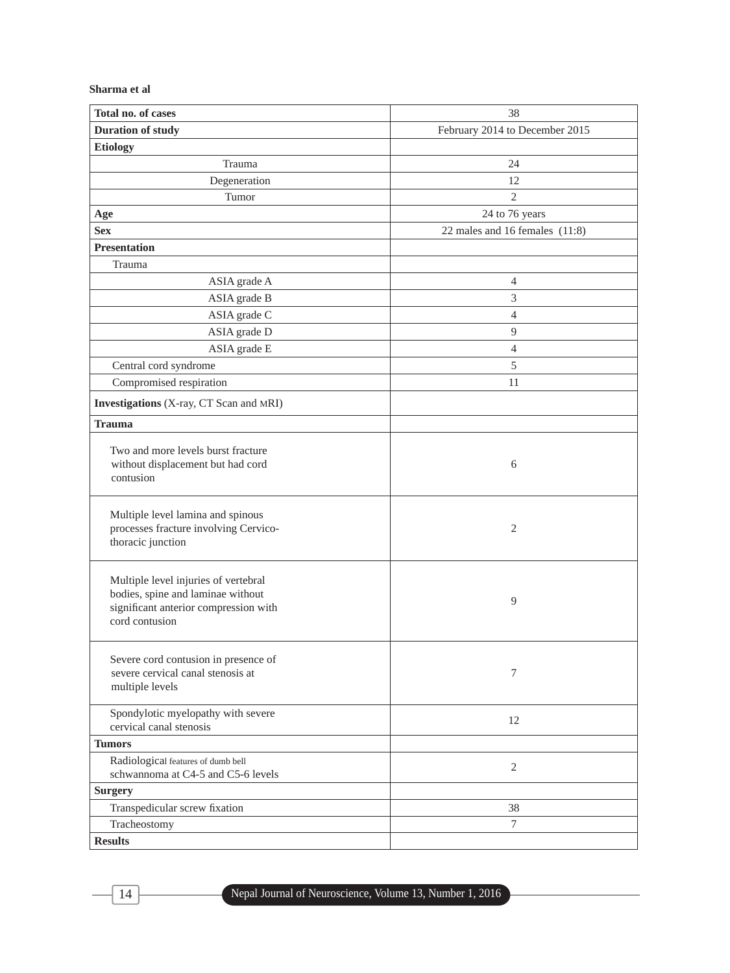| Total no. of cases                                                                                                                   | 38                             |
|--------------------------------------------------------------------------------------------------------------------------------------|--------------------------------|
| <b>Duration of study</b>                                                                                                             | February 2014 to December 2015 |
| <b>Etiology</b>                                                                                                                      |                                |
| Trauma                                                                                                                               | 24                             |
| Degeneration                                                                                                                         | 12                             |
| Tumor                                                                                                                                | $\overline{2}$                 |
| Age                                                                                                                                  | 24 to 76 years                 |
| <b>Sex</b>                                                                                                                           | 22 males and 16 females (11:8) |
| <b>Presentation</b>                                                                                                                  |                                |
| Trauma                                                                                                                               |                                |
| ASIA grade A                                                                                                                         | $\overline{4}$                 |
| ASIA grade B                                                                                                                         | 3                              |
| ASIA grade C                                                                                                                         | $\overline{4}$                 |
| ASIA grade D                                                                                                                         | 9                              |
| ASIA grade E                                                                                                                         | $\overline{4}$                 |
| Central cord syndrome                                                                                                                | 5                              |
| Compromised respiration                                                                                                              | 11                             |
| <b>Investigations</b> (X-ray, CT Scan and MRI)                                                                                       |                                |
| <b>Trauma</b>                                                                                                                        |                                |
| Two and more levels burst fracture<br>without displacement but had cord<br>contusion                                                 | 6                              |
| Multiple level lamina and spinous<br>processes fracture involving Cervico-<br>thoracic junction                                      | $\mathbf{2}$                   |
| Multiple level injuries of vertebral<br>bodies, spine and laminae without<br>significant anterior compression with<br>cord contusion | 9                              |
| Severe cord contusion in presence of<br>severe cervical canal stenosis at<br>multiple levels                                         | 7                              |
| Spondylotic myelopathy with severe<br>cervical canal stenosis                                                                        | 12                             |
| <b>Tumors</b>                                                                                                                        |                                |
| Radiological features of dumb bell<br>schwannoma at C4-5 and C5-6 levels                                                             | $\mathfrak{2}$                 |
| <b>Surgery</b>                                                                                                                       |                                |
| Transpedicular screw fixation                                                                                                        | 38                             |
| Tracheostomy                                                                                                                         | 7                              |
| <b>Results</b>                                                                                                                       |                                |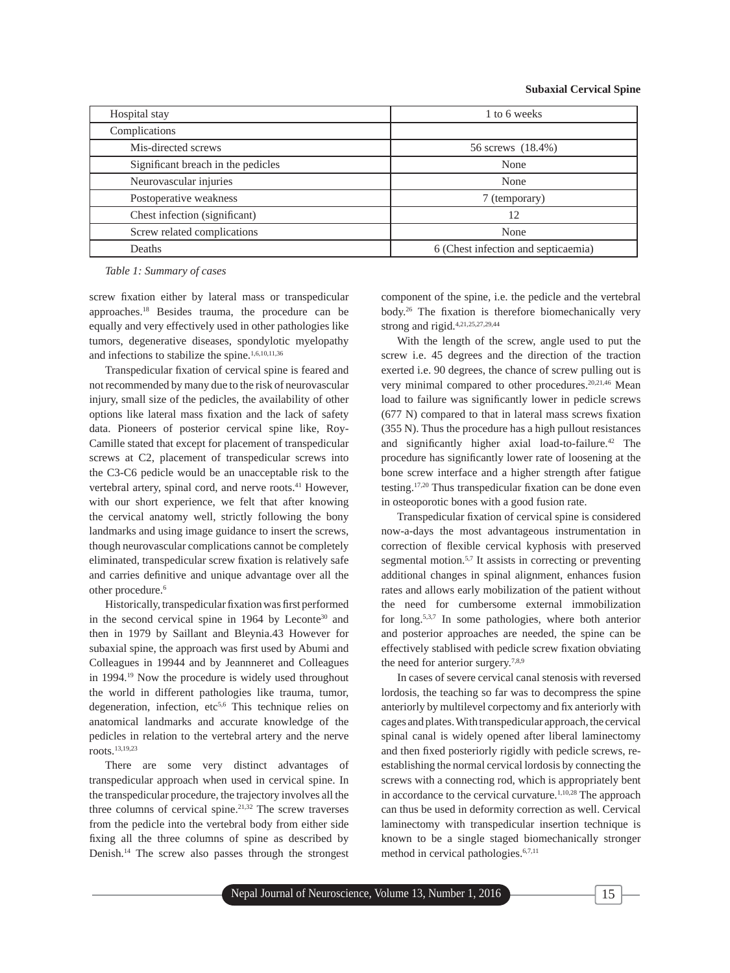| Hospital stay                      | 1 to 6 weeks                        |
|------------------------------------|-------------------------------------|
| Complications                      |                                     |
| Mis-directed screws                | 56 screws (18.4%)                   |
| Significant breach in the pedicles | None                                |
| Neurovascular injuries             | None                                |
| Postoperative weakness             | 7 (temporary)                       |
| Chest infection (significant)      | 12                                  |
| Screw related complications        | None                                |
| Deaths                             | 6 (Chest infection and septicaemia) |

*Table 1: Summary of cases*

screw fixation either by lateral mass or transpedicular approaches.18 Besides trauma, the procedure can be equally and very effectively used in other pathologies like tumors, degenerative diseases, spondylotic myelopathy and infections to stabilize the spine.<sup>1,6,10,11,36</sup>

Transpedicular fixation of cervical spine is feared and not recommended by many due to the risk of neurovascular injury, small size of the pedicles, the availability of other options like lateral mass fixation and the lack of safety data. Pioneers of posterior cervical spine like, Roy-Camille stated that except for placement of transpedicular screws at C2, placement of transpedicular screws into the C3-C6 pedicle would be an unacceptable risk to the vertebral artery, spinal cord, and nerve roots.<sup>41</sup> However, with our short experience, we felt that after knowing the cervical anatomy well, strictly following the bony landmarks and using image guidance to insert the screws, though neurovascular complications cannot be completely eliminated, transpedicular screw fixation is relatively safe and carries definitive and unique advantage over all the other procedure.<sup>6</sup>

Historically, transpedicular fixation was first performed in the second cervical spine in 1964 by Leconte<sup>30</sup> and then in 1979 by Saillant and Bleynia.43 However for subaxial spine, the approach was first used by Abumi and Colleagues in 19944 and by Jeannneret and Colleagues in 1994.19 Now the procedure is widely used throughout the world in different pathologies like trauma, tumor, degeneration, infection, etc<sup>5,6</sup> This technique relies on anatomical landmarks and accurate knowledge of the pedicles in relation to the vertebral artery and the nerve roots.13,19,23

There are some very distinct advantages of transpedicular approach when used in cervical spine. In the transpedicular procedure, the trajectory involves all the three columns of cervical spine. $21,32$  The screw traverses from the pedicle into the vertebral body from either side fixing all the three columns of spine as described by Denish.14 The screw also passes through the strongest

component of the spine, i.e. the pedicle and the vertebral body.<sup>26</sup> The fixation is therefore biomechanically very strong and rigid.4,21,25,27,29,44

With the length of the screw, angle used to put the screw i.e. 45 degrees and the direction of the traction exerted i.e. 90 degrees, the chance of screw pulling out is very minimal compared to other procedures.<sup>20,21,46</sup> Mean load to failure was significantly lower in pedicle screws  $(677 \text{ N})$  compared to that in lateral mass screws fixation (355 N). Thus the procedure has a high pullout resistances and significantly higher axial load-to-failure.<sup>42</sup> The procedure has significantly lower rate of loosening at the bone screw interface and a higher strength after fatigue testing.<sup>17,20</sup> Thus transpedicular fixation can be done even in osteoporotic bones with a good fusion rate.

Transpedicular fixation of cervical spine is considered now-a-days the most advantageous instrumentation in correction of flexible cervical kyphosis with preserved segmental motion.<sup>5,7</sup> It assists in correcting or preventing additional changes in spinal alignment, enhances fusion rates and allows early mobilization of the patient without the need for cumbersome external immobilization for long.5,3,7 In some pathologies, where both anterior and posterior approaches are needed, the spine can be effectively stablised with pedicle screw fixation obviating the need for anterior surgery.<sup>7,8,9</sup>

In cases of severe cervical canal stenosis with reversed lordosis, the teaching so far was to decompress the spine anteriorly by multilevel corpectomy and fix anteriorly with cages and plates. With transpedicular approach, the cervical spinal canal is widely opened after liberal laminectomy and then fixed posteriorly rigidly with pedicle screws, reestablishing the normal cervical lordosis by connecting the screws with a connecting rod, which is appropriately bent in accordance to the cervical curvature.<sup>1,10,28</sup> The approach can thus be used in deformity correction as well. Cervical laminectomy with transpedicular insertion technique is known to be a single staged biomechanically stronger method in cervical pathologies.<sup>6,7,11</sup>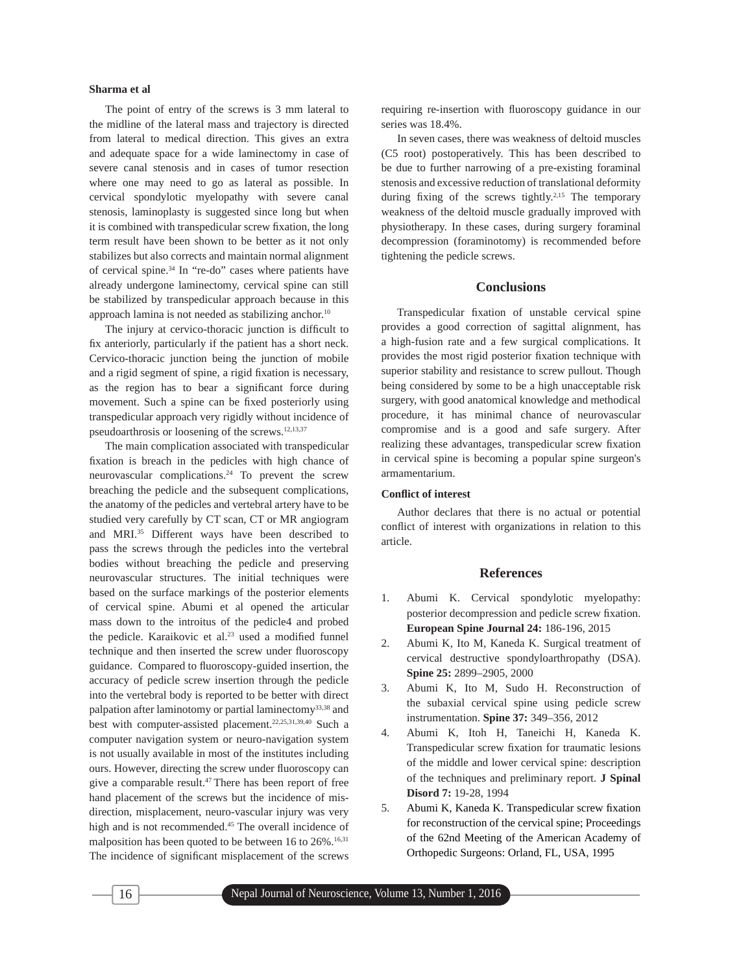The point of entry of the screws is 3 mm lateral to the midline of the lateral mass and trajectory is directed from lateral to medical direction. This gives an extra and adequate space for a wide laminectomy in case of severe canal stenosis and in cases of tumor resection where one may need to go as lateral as possible. In cervical spondylotic myelopathy with severe canal stenosis, laminoplasty is suggested since long but when it is combined with transpedicular screw fixation, the long term result have been shown to be better as it not only stabilizes but also corrects and maintain normal alignment of cervical spine.34 In "re-do" cases where patients have already undergone laminectomy, cervical spine can still be stabilized by transpedicular approach because in this approach lamina is not needed as stabilizing anchor.10

The injury at cervico-thoracic junction is difficult to fix anteriorly, particularly if the patient has a short neck. Cervico-thoracic junction being the junction of mobile and a rigid segment of spine, a rigid fixation is necessary, as the region has to bear a significant force during movement. Such a spine can be fixed posteriorly using transpedicular approach very rigidly without incidence of pseudoarthrosis or loosening of the screws.12,13,37

The main complication associated with transpedicular fixation is breach in the pedicles with high chance of neurovascular complications.24 To prevent the screw breaching the pedicle and the subsequent complications, the anatomy of the pedicles and vertebral artery have to be studied very carefully by CT scan, CT or MR angiogram and MRI.35 Different ways have been described to pass the screws through the pedicles into the vertebral bodies without breaching the pedicle and preserving neurovascular structures. The initial techniques were based on the surface markings of the posterior elements of cervical spine. Abumi et al opened the articular mass down to the introitus of the pedicle4 and probed the pedicle. Karaikovic et al.<sup>23</sup> used a modified funnel technique and then inserted the screw under fluoroscopy guidance. Compared to fluoroscopy-guided insertion, the accuracy of pedicle screw insertion through the pedicle into the vertebral body is reported to be better with direct palpation after laminotomy or partial laminectomy33,38 and best with computer-assisted placement.22,25,31,39,40 Such a computer navigation system or neuro-navigation system is not usually available in most of the institutes including ours. However, directing the screw under fluoroscopy can give a comparable result.47 There has been report of free hand placement of the screws but the incidence of misdirection, misplacement, neuro-vascular injury was very high and is not recommended.<sup>45</sup> The overall incidence of malposition has been quoted to be between 16 to 26%.<sup>16,31</sup> The incidence of significant misplacement of the screws

requiring re-insertion with fluoroscopy guidance in our series was 18.4%.

In seven cases, there was weakness of deltoid muscles (C5 root) postoperatively. This has been described to be due to further narrowing of a pre-existing foraminal stenosis and excessive reduction of translational deformity during fixing of the screws tightly.<sup>2,15</sup> The temporary weakness of the deltoid muscle gradually improved with physiotherapy. In these cases, during surgery foraminal decompression (foraminotomy) is recommended before tightening the pedicle screws.

### **Conclusions**

Transpedicular fixation of unstable cervical spine provides a good correction of sagittal alignment, has a high-fusion rate and a few surgical complications. It provides the most rigid posterior fixation technique with superior stability and resistance to screw pullout. Though being considered by some to be a high unacceptable risk surgery, with good anatomical knowledge and methodical procedure, it has minimal chance of neurovascular compromise and is a good and safe surgery. After realizing these advantages, transpedicular screw fixation in cervical spine is becoming a popular spine surgeon's armamentarium.

## **Confl ict of interest**

Author declares that there is no actual or potential conflict of interest with organizations in relation to this article.

# **References**

- 1. Abumi K. Cervical spondylotic myelopathy: posterior decompression and pedicle screw fixation. **European Spine Journal 24:** 186-196, 2015
- 2. Abumi K, Ito M, Kaneda K. Surgical treatment of cervical destructive spondyloarthropathy (DSA). **Spine 25:** 2899–2905, 2000
- 3. Abumi K, Ito M, Sudo H. Reconstruction of the subaxial cervical spine using pedicle screw instrumentation. **Spine 37:** 349–356, 2012
- 4. Abumi K, Itoh H, Taneichi H, Kaneda K. Transpedicular screw fixation for traumatic lesions of the middle and lower cervical spine: description of the techniques and preliminary report. **J Spinal Disord 7:** 19-28, 1994
- 5. Abumi K, Kaneda K. Transpedicular screw fixation for reconstruction of the cervical spine; Proceedings of the 62nd Meeting of the American Academy of Orthopedic Surgeons: Orland, FL, USA, 1995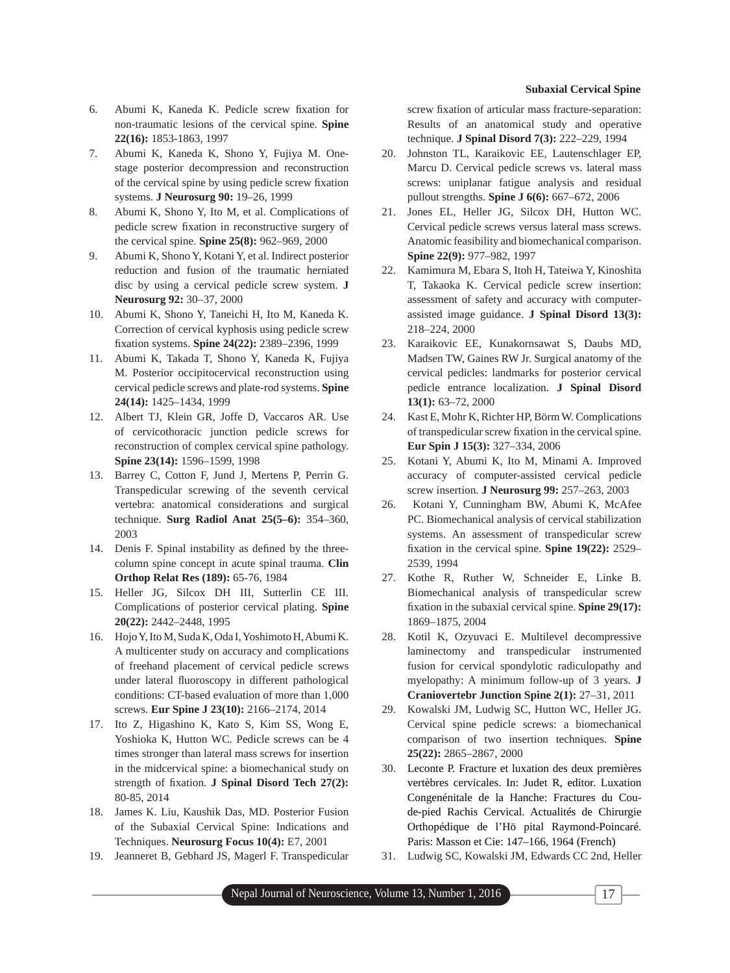- 6. Abumi K, Kaneda K. Pedicle screw fixation for non-traumatic lesions of the cervical spine. **Spine 22(16):** 1853-1863, 1997
- 7. Abumi K, Kaneda K, Shono Y, Fujiya M. Onestage posterior decompression and reconstruction of the cervical spine by using pedicle screw fixation systems. **J Neurosurg 90:** 19–26, 1999
- 8. Abumi K, Shono Y, Ito M, et al. Complications of pedicle screw fixation in reconstructive surgery of the cervical spine. **Spine 25(8):** 962–969, 2000
- 9. Abumi K, Shono Y, Kotani Y, et al. Indirect posterior reduction and fusion of the traumatic herniated disc by using a cervical pedicle screw system. **J Neurosurg 92:** 30–37, 2000
- 10. Abumi K, Shono Y, Taneichi H, Ito M, Kaneda K. Correction of cervical kyphosis using pedicle screw fi xation systems. **Spine 24(22):** 2389–2396, 1999
- 11. Abumi K, Takada T, Shono Y, Kaneda K, Fujiya M. Posterior occipitocervical reconstruction using cervical pedicle screws and plate-rod systems. **Spine 24(14):** 1425–1434, 1999
- 12. Albert TJ, Klein GR, Joffe D, Vaccaros AR. Use of cervicothoracic junction pedicle screws for reconstruction of complex cervical spine pathology. **Spine 23(14):** 1596–1599, 1998
- 13. Barrey C, Cotton F, Jund J, Mertens P, Perrin G. Transpedicular screwing of the seventh cervical vertebra: anatomical considerations and surgical technique. **Surg Radiol Anat 25(5–6):** 354–360, 2003
- 14. Denis F. Spinal instability as defined by the threecolumn spine concept in acute spinal trauma. **Clin Orthop Relat Res (189):** 65-76, 1984
- 15. Heller JG, Silcox DH III, Sutterlin CE III. Complications of posterior cervical plating. **Spine 20(22):** 2442–2448, 1995
- 16. Hojo Y, Ito M, Suda K, Oda I, Yoshimoto H, Abumi K. A multicenter study on accuracy and complications of freehand placement of cervical pedicle screws under lateral fluoroscopy in different pathological conditions: CT-based evaluation of more than 1,000 screws. **Eur Spine J 23(10):** 2166–2174, 2014
- 17. Ito Z, Higashino K, Kato S, Kim SS, Wong E, Yoshioka K, Hutton WC. Pedicle screws can be 4 times stronger than lateral mass screws for insertion in the midcervical spine: a biomechanical study on strength of fixation. **J Spinal Disord Tech 27(2):** 80-85, 2014
- 18. James K. Liu, Kaushik Das, MD. Posterior Fusion of the Subaxial Cervical Spine: Indications and Techniques. **Neurosurg Focus 10(4):** E7, 2001
- 19. Jeanneret B, Gebhard JS, Magerl F. Transpedicular

screw fixation of articular mass fracture-separation: Results of an anatomical study and operative technique. **J Spinal Disord 7(3):** 222–229, 1994

- 20. Johnston TL, Karaikovic EE, Lautenschlager EP, Marcu D. Cervical pedicle screws vs. lateral mass screws: uniplanar fatigue analysis and residual pullout strengths. **Spine J 6(6):** 667–672, 2006
- 21. Jones EL, Heller JG, Silcox DH, Hutton WC. Cervical pedicle screws versus lateral mass screws. Anatomic feasibility and biomechanical comparison. **Spine 22(9):** 977–982, 1997
- 22. Kamimura M, Ebara S, Itoh H, Tateiwa Y, Kinoshita T, Takaoka K. Cervical pedicle screw insertion: assessment of safety and accuracy with computerassisted image guidance. **J Spinal Disord 13(3):** 218–224, 2000
- 23. Karaikovic EE, Kunakornsawat S, Daubs MD, Madsen TW, Gaines RW Jr. Surgical anatomy of the cervical pedicles: landmarks for posterior cervical pedicle entrance localization. **J Spinal Disord 13(1):** 63–72, 2000
- 24. Kast E, Mohr K, Richter HP, Börm W. Complications of transpedicular screw fixation in the cervical spine. **Eur Spin J 15(3):** 327–334, 2006
- 25. Kotani Y, Abumi K, Ito M, Minami A. Improved accuracy of computer-assisted cervical pedicle screw insertion. **J Neurosurg 99:** 257–263, 2003
- 26. Kotani Y, Cunningham BW, Abumi K, McAfee PC. Biomechanical analysis of cervical stabilization systems. An assessment of transpedicular screw fixation in the cervical spine. **Spine 19(22):** 2529– 2539, 1994
- 27. Kothe R, Ruther W, Schneider E, Linke B. Biomechanical analysis of transpedicular screw fixation in the subaxial cervical spine. **Spine 29(17):** 1869–1875, 2004
- 28. Kotil K, Ozyuvaci E. Multilevel decompressive laminectomy and transpedicular instrumented fusion for cervical spondylotic radiculopathy and myelopathy: A minimum follow-up of 3 years. **J Craniovertebr Junction Spine 2(1):** 27–31, 2011
- 29. Kowalski JM, Ludwig SC, Hutton WC, Heller JG. Cervical spine pedicle screws: a biomechanical comparison of two insertion techniques. **Spine 25(22):** 2865–2867, 2000
- 30. Leconte P. Fracture et luxation des deux premières vertèbres cervicales. In: Judet R, editor. Luxation Congenénitale de la Hanche: Fractures du Coude-pied Rachis Cervical. Actualités de Chirurgie Orthopédique de l'Hö pital Raymond-Poincaré. Paris: Masson et Cie: 147–166, 1964 (French)
- 31. Ludwig SC, Kowalski JM, Edwards CC 2nd, Heller